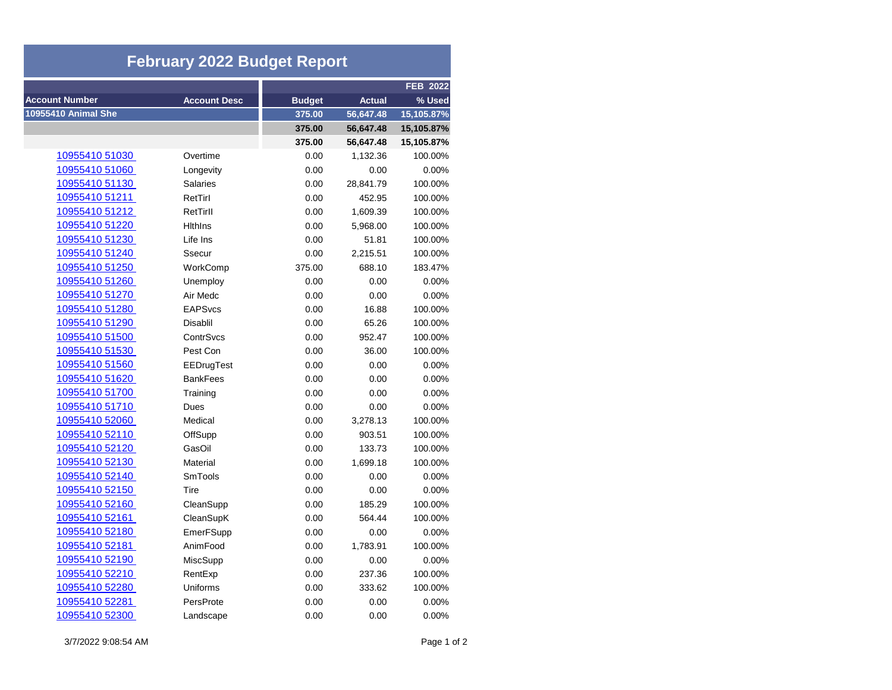| <b>February 2022 Budget Report</b> |                     |               |               |            |  |  |
|------------------------------------|---------------------|---------------|---------------|------------|--|--|
|                                    |                     |               |               | FEB 2022   |  |  |
| <b>Account Number</b>              | <b>Account Desc</b> | <b>Budget</b> | <b>Actual</b> | % Used     |  |  |
| 10955410 Animal She                |                     | 375.00        | 56,647.48     | 15,105.87% |  |  |
|                                    |                     | 375.00        | 56,647.48     | 15,105.87% |  |  |
|                                    |                     | 375.00        | 56,647.48     | 15,105.87% |  |  |
| 10955410 51030                     | Overtime            | 0.00          | 1,132.36      | 100.00%    |  |  |
| 10955410 51060                     | Longevity           | 0.00          | 0.00          | 0.00%      |  |  |
| 10955410 51130                     | <b>Salaries</b>     | 0.00          | 28,841.79     | 100.00%    |  |  |
| 10955410 51211                     | RetTirl             | 0.00          | 452.95        | 100.00%    |  |  |
| 10955410 51212                     | RetTirll            | 0.00          | 1,609.39      | 100.00%    |  |  |
| 10955410 51220                     | <b>Hithins</b>      | 0.00          | 5,968.00      | 100.00%    |  |  |
| 10955410 51230                     | Life Ins            | 0.00          | 51.81         | 100.00%    |  |  |
| 10955410 51240                     | Ssecur              | 0.00          | 2,215.51      | 100.00%    |  |  |
| 10955410 51250                     | WorkComp            | 375.00        | 688.10        | 183.47%    |  |  |
| 10955410 51260                     | Unemploy            | 0.00          | 0.00          | 0.00%      |  |  |
| 10955410 51270                     | Air Medc            | 0.00          | 0.00          | 0.00%      |  |  |
| 10955410 51280                     | <b>EAPSvcs</b>      | 0.00          | 16.88         | 100.00%    |  |  |
| 10955410 51290                     | Disablil            | 0.00          | 65.26         | 100.00%    |  |  |
| 10955410 51500                     | ContrSvcs           | 0.00          | 952.47        | 100.00%    |  |  |
| 10955410 51530                     | Pest Con            | 0.00          | 36.00         | 100.00%    |  |  |
| 10955410 51560                     | EEDrugTest          | 0.00          | 0.00          | 0.00%      |  |  |
| 10955410 51620                     | <b>BankFees</b>     | 0.00          | 0.00          | 0.00%      |  |  |
| 10955410 51700                     | Training            | 0.00          | 0.00          | 0.00%      |  |  |
| 10955410 51710                     | Dues                | 0.00          | 0.00          | 0.00%      |  |  |
| 10955410 52060                     | Medical             | 0.00          | 3,278.13      | 100.00%    |  |  |
| 10955410 52110                     | OffSupp             | 0.00          | 903.51        | 100.00%    |  |  |
| 10955410 52120                     | GasOil              | 0.00          | 133.73        | 100.00%    |  |  |
| <u>10955410 52130</u>              | Material            | 0.00          | 1,699.18      | 100.00%    |  |  |
| 10955410 52140                     | <b>SmTools</b>      | 0.00          | 0.00          | 0.00%      |  |  |
| 10955410 52150                     | Tire                | 0.00          | 0.00          | 0.00%      |  |  |
| 10955410 52160                     | CleanSupp           | 0.00          | 185.29        | 100.00%    |  |  |
| 10955410 52161                     | CleanSupK           | 0.00          | 564.44        | 100.00%    |  |  |
| 10955410 52180                     | EmerFSupp           | 0.00          | 0.00          | 0.00%      |  |  |
| 10955410 52181                     | AnimFood            | 0.00          | 1,783.91      | 100.00%    |  |  |
| 10955410 52190                     | MiscSupp            | 0.00          | 0.00          | 0.00%      |  |  |
| <u>10955410 52210</u>              | RentExp             | 0.00          | 237.36        | 100.00%    |  |  |
| 10955410 52280                     | Uniforms            | 0.00          | 333.62        | 100.00%    |  |  |
| 10955410 52281                     | PersProte           | 0.00          | 0.00          | 0.00%      |  |  |
| 10955410 52300                     | Landscape           | 0.00          | 0.00          | 0.00%      |  |  |